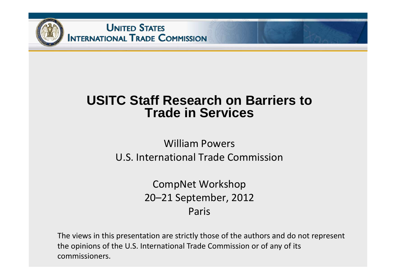

### **USITC Staff Research on Barriers to Trade in Services**

#### William Powers U.S. International Trade Commission

CompNet Workshop 20–21 September, 2012 Paris

The views in this presentation are strictly those of the authors and do not represent the opinions of the U.S. International Trade Commission or of any of its commissioners.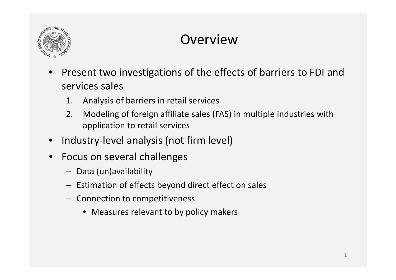

## Overview

- •• Present two investigations of the effects of barriers to FDI and services sales
	- 1. Analysis of barriers in retail services
	- 2. Modeling of foreign affiliate sales (FAS) in multiple industries with application to retail services
- •Industry‐level analysis (not firm level)
- $\bullet$ • Focus on several challenges
	- Data (un)availability
	- Estimation of effects beyond direct effect on sales
	- Connection to competitiveness
		- Measures relevant to by policy makers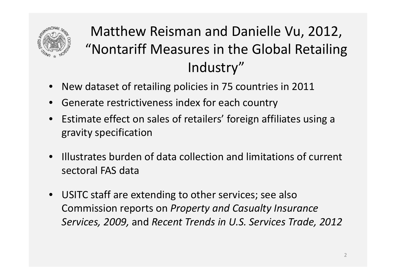

# Matthew Reisman and Danielle Vu, 2012, "Nontariff Measures in the Global Retailing Industry"

- New dataset of retailing policies in 75 countries in 2011
- •Generate restrictiveness index for each country
- Estimate effect on sales of retailers' foreign affiliates using <sup>a</sup> gravity specification
- Illustrates burden of data collection and limitations of current sectoral FAS data
- USITC staff are extending to other services; see also Commission reports on *Property and Casualty Insurance Services, 2009,* and *Recent Trends in U.S. Services Trade, 2012*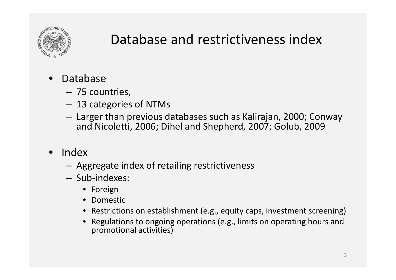

### Database and restrictiveness index

- $\bullet$  Database
	- 75 countries,
	- –13 categories of NTMs
	- $-$  Larger than previous databases such as Kalirajan, 2000; Conway and Nicoletti, 2006; Dihel and Shepherd, 2007; Golub, 2009
- Index
	- Aggregate index of retailing restrictiveness
	- Sub‐indexes:
		- Foreign
		- Domestic
		- Restrictions on establishment (e.g., equity caps, investment screening)
		- Regulations to ongoing operations (e.g., limits on operating hours and promotional activities)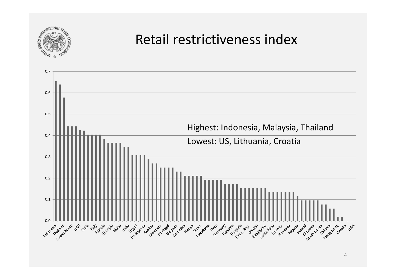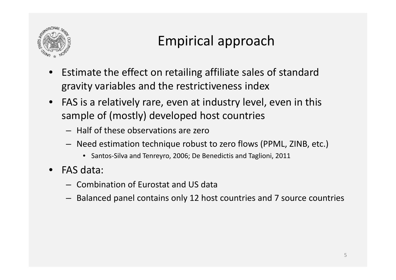

# Empirical approach

- •• Estimate the effect on retailing affiliate sales of standard gravity variables and the restrictiveness index
- FAS is a relatively rare, even at industry level, even in this sample of (mostly) developed host countries
	- Half of these observations are zero
	- Need estimation technique robust to zero flows (PPML, ZINB, etc.)
		- Santos‐Silva and Tenreyro, 2006; De Benedictis and Taglioni, 2011
- FAS data:
	- Combination of Eurostat and US data
	- Balanced panel contains only 12 host countries and 7 source countries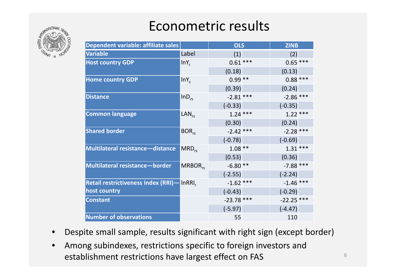

# Econometric results

| Dependent variable: affiliate sales        | <b>OLS</b> |  | <b>ZINB</b>                                                                                                                                                                                                                   |                                                                                                                                                        |
|--------------------------------------------|------------|--|-------------------------------------------------------------------------------------------------------------------------------------------------------------------------------------------------------------------------------|--------------------------------------------------------------------------------------------------------------------------------------------------------|
| Label                                      |            |  | (2)                                                                                                                                                                                                                           |                                                                                                                                                        |
| $lnY_r$                                    |            |  |                                                                                                                                                                                                                               |                                                                                                                                                        |
|                                            |            |  | (0.13)                                                                                                                                                                                                                        |                                                                                                                                                        |
| $lnY_c$                                    |            |  |                                                                                                                                                                                                                               |                                                                                                                                                        |
|                                            |            |  | (0.24)                                                                                                                                                                                                                        |                                                                                                                                                        |
| $lnD_{rs}$                                 |            |  |                                                                                                                                                                                                                               |                                                                                                                                                        |
|                                            |            |  |                                                                                                                                                                                                                               |                                                                                                                                                        |
| $LAN_{rs}$                                 |            |  |                                                                                                                                                                                                                               |                                                                                                                                                        |
|                                            |            |  | (0.24)                                                                                                                                                                                                                        |                                                                                                                                                        |
| $BOR_{rs}$                                 |            |  |                                                                                                                                                                                                                               |                                                                                                                                                        |
|                                            |            |  |                                                                                                                                                                                                                               |                                                                                                                                                        |
| $MRD_{rs}$                                 |            |  |                                                                                                                                                                                                                               |                                                                                                                                                        |
|                                            |            |  | (0.36)                                                                                                                                                                                                                        |                                                                                                                                                        |
| $MRBOR_{rs}$                               |            |  |                                                                                                                                                                                                                               |                                                                                                                                                        |
|                                            |            |  | $(-2.24)$                                                                                                                                                                                                                     |                                                                                                                                                        |
| Retail restrictiveness index (RRI)— InRRI. |            |  |                                                                                                                                                                                                                               |                                                                                                                                                        |
|                                            | $(-0.43)$  |  | $(-0.29)$                                                                                                                                                                                                                     |                                                                                                                                                        |
|                                            |            |  |                                                                                                                                                                                                                               |                                                                                                                                                        |
|                                            |            |  | $(-4.47)$                                                                                                                                                                                                                     |                                                                                                                                                        |
|                                            | 55         |  | 110                                                                                                                                                                                                                           |                                                                                                                                                        |
|                                            |            |  | (1)<br>$0.61***$<br>(0.18)<br>$0.99***$<br>(0.39)<br>$-2.81$ ***<br>$(-0.33)$<br>$1.24***$<br>(0.30)<br>$-2.42$ ***<br>$(-0.78)$<br>$1.08***$<br>(0.53)<br>$-6.80**$<br>$(-2.55)$<br>$-1.62$ ***<br>$-23.78$ ***<br>$(-5.97)$ | $0.65***$<br>$0.88***$<br>$-2.86$ ***<br>$(-0.35)$<br>$1.22***$<br>$-2.28$ ***<br>$(-0.69)$<br>$1.31***$<br>$-7.88$ ***<br>$-1.46$ ***<br>$-22.25$ *** |

- •Despite small sample, results significant with right sign (except border)
- $\bullet$  Among subindexes, restrictions specific to foreign investors and establishment restrictions have largest effect on FAS  $\overline{\phantom{a}}^6$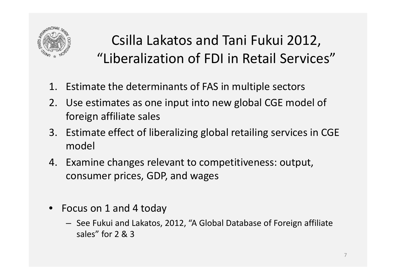

# Csilla Lakatos and Tani Fukui 2012, "Liberalization of FDI in Retail Services"

- 1. Estimate the determinants of FAS in multiple sectors
- 2. Use estimates as one input into new global CGE model of foreign affiliate sales
- 3. Estimate effect of liberalizing global retailing services in CGE model
- 4. Examine changes relevant to competitiveness: output, consumer prices, GDP, and wages
- Focus on 1 and 4 today
	- See Fukui and Lakatos, 2012, "A Global Database of Foreign affiliate sales" for 2 & 3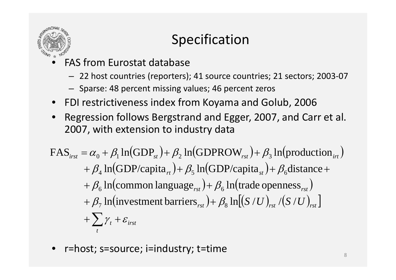

# Specification

- • FAS from Eurostat database
	- 22 host countries (reporters); 41 source countries; 21 sectors; 2003‐07
	- Sparse: 48 percent missing values; 46 percent zeros
- FDI restrictiveness index from Koyama and Golub, 2006
- • Regression follows Bergstrand and Egger, 2007, and Carr et al. 2007, with extension to industry data

$$
\begin{aligned} \text{FAS}_{\text{irst}} &= \alpha_0 + \beta_1 \ln(\text{GDP}_{st}) + \beta_2 \ln(\text{GDPROW}_{\text{rst}}) + \beta_3 \ln(\text{production}_{\text{irt}}) \\ &+ \beta_4 \ln(\text{GDP/capita}_{\text{rt}}) + \beta_5 \ln(\text{GDP/capita}_{\text{st}}) + \beta_6 \text{distance} + \\ &+ \beta_6 \ln(\text{common language}_{\text{rst}}) + \beta_6 \ln(\text{trade openness}_{\text{rst}}) \\ &+ \beta_7 \ln(\text{investment barriers}_{\text{rst}}) + \beta_8 \ln[(S/U)_{\text{rst}} / (S/U)_{\text{rst}}] \\ &+ \sum_t \gamma_t + \varepsilon_{\text{irst}} \end{aligned}
$$

•r=host; s=source; i=industry; t=time 8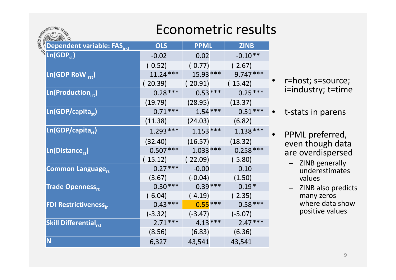### Econometric results

| STATES MARS                              | LUUIIUIIIUUIIU IUJUI |             |              |  |
|------------------------------------------|----------------------|-------------|--------------|--|
| Dependent variable: FAS <sub>irst</sub>  | <b>OLS</b>           | <b>PPML</b> | <b>ZINB</b>  |  |
| <sup></sup> Ln(GDP <sub>st</sub> )       | $-0.02$              | 0.02        | $-0.10**$    |  |
|                                          | $(-0.52)$            | $(-0.77)$   | $(-2.67)$    |  |
| $Ln(GDP Row_{rst})$                      | $-11.24***$          | $-15.93***$ | $-9.747***$  |  |
|                                          | $(-20.39)$           | $(-20.91)$  | $(-15.42)$   |  |
| $Ln(Production_{irt})$                   | $0.28***$            | $0.53***$   | $0.25***$    |  |
|                                          | (19.79)              | (28.95)     | (13.37)      |  |
| Ln(GDP/capita <sub>st</sub> )            | $0.71***$            | $1.54***$   | $0.51***$    |  |
|                                          | (11.38)              | (24.03)     | (6.82)       |  |
| $Ln(GDP/c$ apita <sub>rt</sub> )         | $1.293***$           | $1.153***$  | $1.138***$   |  |
|                                          | (32.40)              | (16.57)     | (18.32)      |  |
| $Ln(Distance_{rs})$                      | $-0.507$ ***         | $-1.033***$ | $-0.258$ *** |  |
|                                          | $(-15.12)$           | $(-22.09)$  | $(-5.80)$    |  |
| <b>Common Language</b> <sub>rs</sub>     | $0.27***$            | $-0.00$     | 0.10         |  |
|                                          | (3.67)               | $(-0.04)$   | (1.50)       |  |
| <b>Trade Openness</b> <sub>rt</sub>      | $-0.30***$           | $-0.39$ *** | $-0.19*$     |  |
|                                          | $(-6.04)$            | $(-4.19)$   | $(-2.35)$    |  |
| <b>FDI Restrictiveness</b> <sub>ir</sub> | $-0.43$ ***          | $-0.55***$  | $-0.58***$   |  |
|                                          | $(-3.32)$            | $(-3.47)$   | $(-5.07)$    |  |
| <b>Skill Differential</b> <sub>rst</sub> | $2.71***$            | $4.13***$   | $2.47***$    |  |
|                                          | (8.56)               | (6.83)      | (6.36)       |  |
| N                                        | 6,327                | 43,541      | 43,541       |  |
|                                          |                      |             |              |  |

 r=host; s=source; i=industry; t=time

•

•

•

- t-stats in parens
- PPML preferred, even though data are overdispersed
	- ZINB generally underestimates values
	- ZINB also predicts many zeros where data showpositive values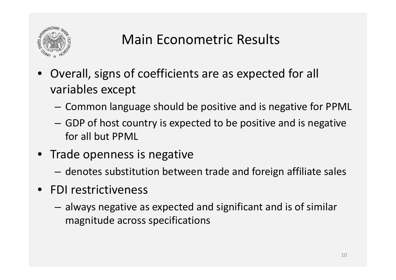

## Main Econometric Results

- Overall, signs of coefficients are as expected for all variables except
	- – $-$  Common language should be positive and is negative for PPML
	- – GDP of host country is expected to be positive and is negative for all but PPML
- Trade openness is negative
	- –denotes substitution between trade and foreign affiliate sales
- FDI restrictiveness
	- – always negative as expected and significant and is of similar magnitude across specifications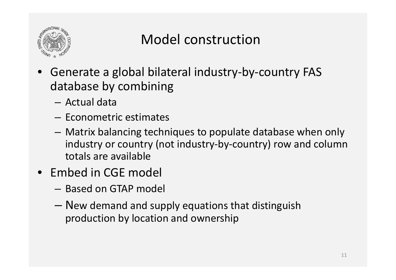

### Model construction

- Generate <sup>a</sup> global bilateral industry‐by‐country FAS database by combining
	- Actual data
	- Econometric estimates
	- Matrix balancing techniques to populate database when only industry or country (not industry‐by‐country) row and column totals are available
- Embed in CGE model
	- Based on GTAP model
	- New demand and supply equations that distinguish production by location and ownership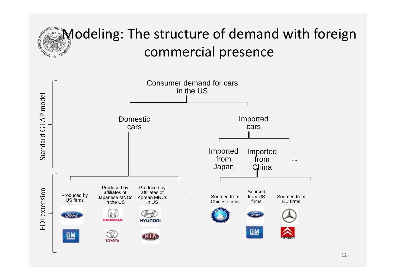# Modeling: The structure of demand with foreign commercial presence

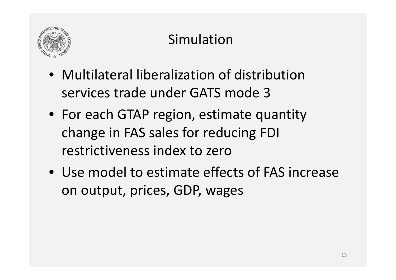

# Simulation

- Multilateral liberalization of distribution services trade under GATS mode 3
- For each GTAP region, estimate quantity change in FAS sales for reducing FDI restrictiveness index to zero
- Use model to estimate effects of FAS increase on output, prices, GDP, wages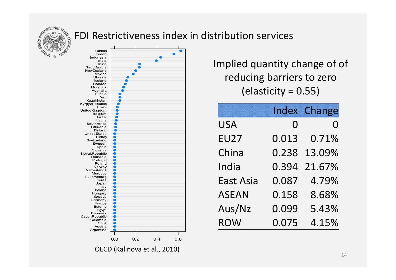

#### FDI Restrictiveness index in distribution services



Implied quantity change of of reducing barriers to zero (elasticity <sup>=</sup> 0.55)

|                  |       | <b>Index Change</b> |
|------------------|-------|---------------------|
| <b>USA</b>       | 0     | O                   |
| <b>EU27</b>      | 0.013 | 0.71%               |
| China            | 0.238 | 13.09%              |
| India            | 0.394 | 21.67%              |
| <b>East Asia</b> | 0.087 | 4.79%               |
| <b>ASEAN</b>     | 0.158 | 8.68%               |
| Aus/Nz           | 0.099 | 5.43%               |
| <b>ROW</b>       | 0.075 | 4.15%               |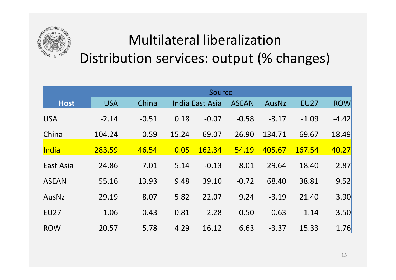

# Multilateral liberalization Distribution services: output (% changes)

|              | Source     |         |       |                 |              |         |             |            |
|--------------|------------|---------|-------|-----------------|--------------|---------|-------------|------------|
| <b>Host</b>  | <b>USA</b> | China   |       | India East Asia | <b>ASEAN</b> | AusNz   | <b>EU27</b> | <b>ROW</b> |
| <b>USA</b>   | $-2.14$    | $-0.51$ | 0.18  | $-0.07$         | $-0.58$      | $-3.17$ | $-1.09$     | $-4.42$    |
| China        | 104.24     | $-0.59$ | 15.24 | 69.07           | 26.90        | 134.71  | 69.67       | 18.49      |
| India        | 283.59     | 46.54   | 0.05  | 162.34          | 54.19        | 405.67  | 167.54      | 40.27      |
| East Asia    | 24.86      | 7.01    | 5.14  | $-0.13$         | 8.01         | 29.64   | 18.40       | 2.87       |
| <b>ASEAN</b> | 55.16      | 13.93   | 9.48  | 39.10           | $-0.72$      | 68.40   | 38.81       | 9.52       |
| AusNz        | 29.19      | 8.07    | 5.82  | 22.07           | 9.24         | $-3.19$ | 21.40       | 3.90       |
| <b>EU27</b>  | 1.06       | 0.43    | 0.81  | 2.28            | 0.50         | 0.63    | $-1.14$     | $-3.50$    |
| ROW          | 20.57      | 5.78    | 4.29  | 16.12           | 6.63         | $-3.37$ | 15.33       | 1.76       |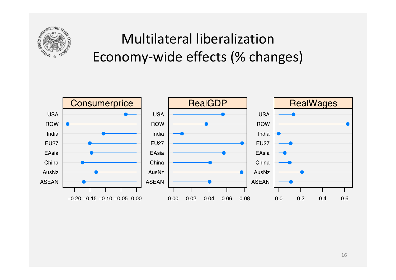

# Multilateral liberalizationEconomy‐wide effects (% changes)